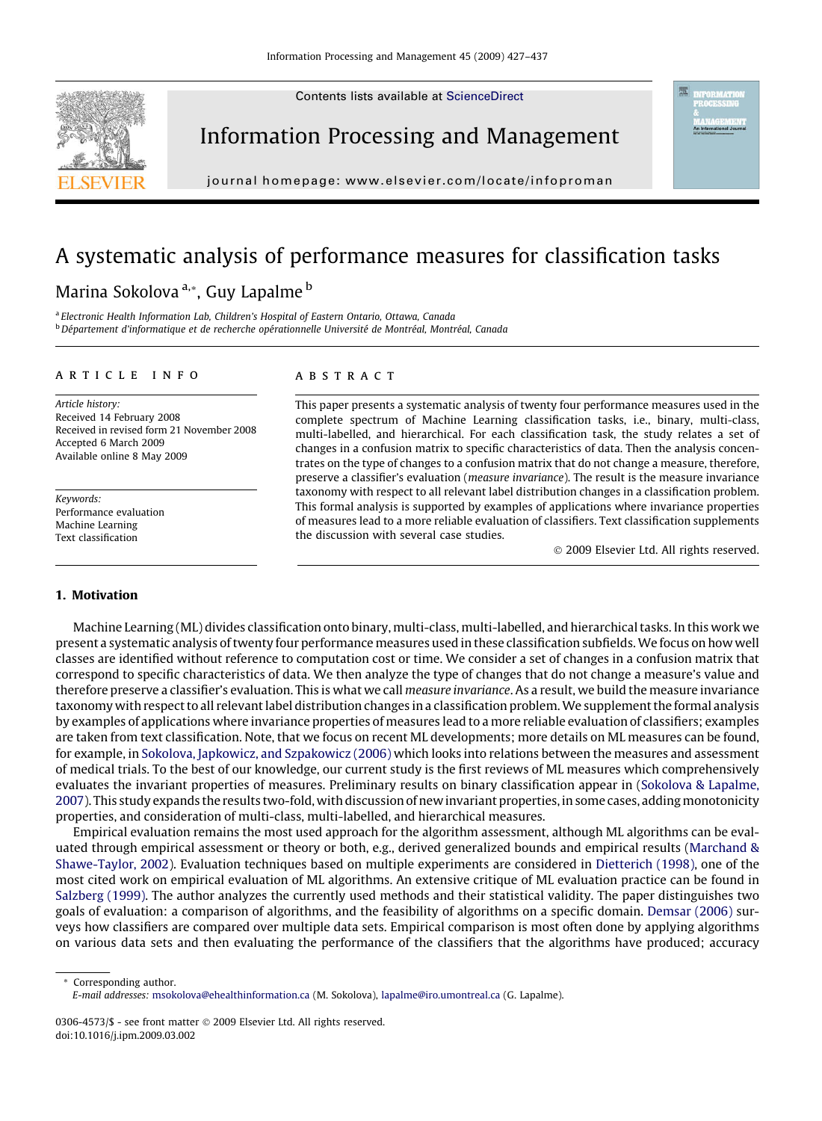Contents lists available at [ScienceDirect](http://www.sciencedirect.com/science/journal/03064573)



Information Processing and Management

journal homepage: [www.elsevier.com/locate/infoproman](http://www.elsevier.com/locate/infoproman)

# A systematic analysis of performance measures for classification tasks

# Marina Sokolova<sup>a,\*</sup>, Guy Lapalme<sup>b</sup>

<sup>a</sup> Electronic Health Information Lab, Children's Hospital of Eastern Ontario, Ottawa, Canada <sup>b</sup> Département d'informatique et de recherche opérationnelle Université de Montréal, Montréal, Canada

#### article info

Article history: Received 14 February 2008 Received in revised form 21 November 2008 Accepted 6 March 2009 Available online 8 May 2009

Keywords: Performance evaluation Machine Learning Text classification

# 1. Motivation

#### **ABSTRACT**

This paper presents a systematic analysis of twenty four performance measures used in the complete spectrum of Machine Learning classification tasks, i.e., binary, multi-class, multi-labelled, and hierarchical. For each classification task, the study relates a set of changes in a confusion matrix to specific characteristics of data. Then the analysis concentrates on the type of changes to a confusion matrix that do not change a measure, therefore, preserve a classifier's evaluation (measure invariance). The result is the measure invariance taxonomy with respect to all relevant label distribution changes in a classification problem. This formal analysis is supported by examples of applications where invariance properties of measures lead to a more reliable evaluation of classifiers. Text classification supplements the discussion with several case studies.

- 2009 Elsevier Ltd. All rights reserved.

Machine Learning (ML) divides classification onto binary, multi-class, multi-labelled, and hierarchical tasks. In this work we present a systematic analysis of twenty four performance measures used in these classification subfields.We focus on how well classes are identified without reference to computation cost or time. We consider a set of changes in a confusion matrix that correspond to specific characteristics of data. We then analyze the type of changes that do not change a measure's value and therefore preserve a classifier's evaluation. This is what we call measure invariance. As a result, we build the measure invariance taxonomy with respect to all relevant label distribution changes in a classification problem.We supplement the formal analysis by examples of applications where invariance properties of measures lead to a more reliable evaluation of classifiers; examples are taken from text classification. Note, that we focus on recent ML developments; more details on ML measures can be found, for example, in [Sokolova, Japkowicz, and Szpakowicz \(2006\)](#page-10-0) which looks into relations between the measures and assessment of medical trials. To the best of our knowledge, our current study is the first reviews of ML measures which comprehensively evaluates the invariant properties of measures. Preliminary results on binary classification appear in ([Sokolova & Lapalme,](#page-10-0) [2007\)](#page-10-0). This study expands the results two-fold, with discussion of new invariant properties, in some cases, adding monotonicity properties, and consideration of multi-class, multi-labelled, and hierarchical measures.

Empirical evaluation remains the most used approach for the algorithm assessment, although ML algorithms can be evaluated through empirical assessment or theory or both, e.g., derived generalized bounds and empirical results ([Marchand &](#page-9-0) [Shawe-Taylor, 2002\)](#page-9-0). Evaluation techniques based on multiple experiments are considered in [Dietterich \(1998\)](#page-9-0), one of the most cited work on empirical evaluation of ML algorithms. An extensive critique of ML evaluation practice can be found in [Salzberg \(1999\)](#page-10-0). The author analyzes the currently used methods and their statistical validity. The paper distinguishes two goals of evaluation: a comparison of algorithms, and the feasibility of algorithms on a specific domain. [Demsar \(2006\)](#page-9-0) surveys how classifiers are compared over multiple data sets. Empirical comparison is most often done by applying algorithms on various data sets and then evaluating the performance of the classifiers that the algorithms have produced; accuracy

\* Corresponding author. E-mail addresses: [msokolova@ehealthinformation.ca](mailto:msokolova@ehealthinformation.ca) (M. Sokolova), [lapalme@iro.umontreal.ca](mailto:lapalme@iro.umontreal.ca) (G. Lapalme).

<sup>0306-4573/\$ -</sup> see front matter © 2009 Elsevier Ltd. All rights reserved. doi:10.1016/j.ipm.2009.03.002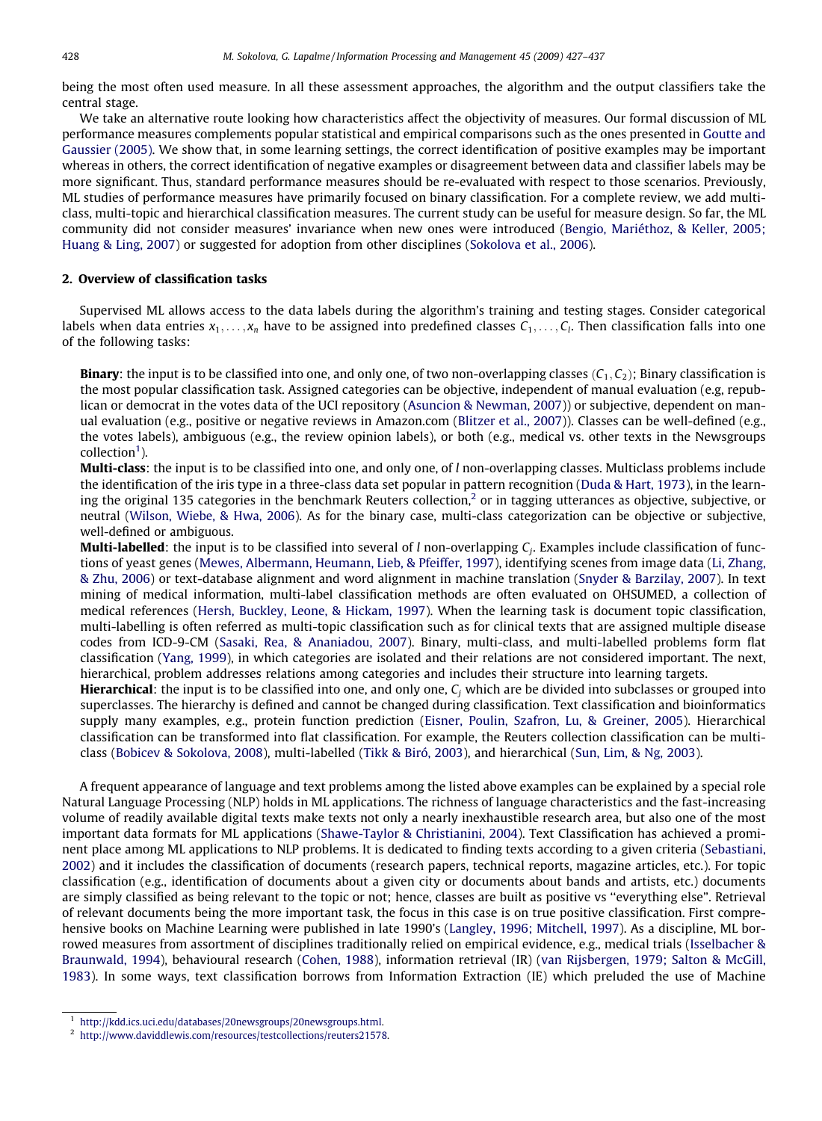being the most often used measure. In all these assessment approaches, the algorithm and the output classifiers take the central stage.

We take an alternative route looking how characteristics affect the objectivity of measures. Our formal discussion of ML performance measures complements popular statistical and empirical comparisons such as the ones presented in [Goutte and](#page-9-0) [Gaussier \(2005\).](#page-9-0) We show that, in some learning settings, the correct identification of positive examples may be important whereas in others, the correct identification of negative examples or disagreement between data and classifier labels may be more significant. Thus, standard performance measures should be re-evaluated with respect to those scenarios. Previously, ML studies of performance measures have primarily focused on binary classification. For a complete review, we add multiclass, multi-topic and hierarchical classification measures. The current study can be useful for measure design. So far, the ML community did not consider measures' invariance when new ones were introduced [\(Bengio, Mariéthoz, & Keller, 2005;](#page-9-0) [Huang & Ling, 2007](#page-9-0)) or suggested for adoption from other disciplines [\(Sokolova et al., 2006\)](#page-10-0).

# 2. Overview of classification tasks

Supervised ML allows access to the data labels during the algorithm's training and testing stages. Consider categorical labels when data entries  $x_1, \ldots, x_n$  have to be assigned into predefined classes  $C_1, \ldots, C_l$ . Then classification falls into one of the following tasks:

**Binary:** the input is to be classified into one, and only one, of two non-overlapping classes  $(C_1, C_2)$ ; Binary classification is the most popular classification task. Assigned categories can be objective, independent of manual evaluation (e.g, republican or democrat in the votes data of the UCI repository [\(Asuncion & Newman, 2007](#page-9-0))) or subjective, dependent on manual evaluation (e.g., positive or negative reviews in Amazon.com [\(Blitzer et al., 2007](#page-9-0))). Classes can be well-defined (e.g., the votes labels), ambiguous (e.g., the review opinion labels), or both (e.g., medical vs. other texts in the Newsgroups collection<sup>1</sup>).

Multi-class: the input is to be classified into one, and only one, of l non-overlapping classes. Multiclass problems include the identification of the iris type in a three-class data set popular in pattern recognition ([Duda & Hart, 1973](#page-9-0)), in the learning the original 135 categories in the benchmark Reuters collection, $\frac{2}{3}$  or in tagging utterances as objective, subjective, or neutral ([Wilson, Wiebe, & Hwa, 2006](#page-10-0)). As for the binary case, multi-class categorization can be objective or subjective, well-defined or ambiguous.

**Multi-labelled**: the input is to be classified into several of l non-overlapping  $C_i$ . Examples include classification of func-tions of yeast genes [\(Mewes, Albermann, Heumann, Lieb, & Pfeiffer, 1997\)](#page-9-0), identifying scenes from image data ([Li, Zhang,](#page-9-0) [& Zhu, 2006](#page-9-0)) or text-database alignment and word alignment in machine translation ([Snyder & Barzilay, 2007\)](#page-10-0). In text mining of medical information, multi-label classification methods are often evaluated on OHSUMED, a collection of medical references [\(Hersh, Buckley, Leone, & Hickam, 1997\)](#page-9-0). When the learning task is document topic classification, multi-labelling is often referred as multi-topic classification such as for clinical texts that are assigned multiple disease codes from ICD-9-CM [\(Sasaki, Rea, & Ananiadou, 2007\)](#page-10-0). Binary, multi-class, and multi-labelled problems form flat classification ([Yang, 1999](#page-10-0)), in which categories are isolated and their relations are not considered important. The next, hierarchical, problem addresses relations among categories and includes their structure into learning targets.

**Hierarchical**: the input is to be classified into one, and only one,  $C_i$  which are be divided into subclasses or grouped into superclasses. The hierarchy is defined and cannot be changed during classification. Text classification and bioinformatics supply many examples, e.g., protein function prediction [\(Eisner, Poulin, Szafron, Lu, & Greiner, 2005\)](#page-9-0). Hierarchical classification can be transformed into flat classification. For example, the Reuters collection classification can be multiclass ([Bobicev & Sokolova, 2008](#page-9-0)), multi-labelled [\(Tikk & Biró, 2003\)](#page-10-0), and hierarchical [\(Sun, Lim, & Ng, 2003\)](#page-10-0).

A frequent appearance of language and text problems among the listed above examples can be explained by a special role Natural Language Processing (NLP) holds in ML applications. The richness of language characteristics and the fast-increasing volume of readily available digital texts make texts not only a nearly inexhaustible research area, but also one of the most important data formats for ML applications ([Shawe-Taylor & Christianini, 2004](#page-10-0)). Text Classification has achieved a prominent place among ML applications to NLP problems. It is dedicated to finding texts according to a given criteria [\(Sebastiani,](#page-10-0) [2002](#page-10-0)) and it includes the classification of documents (research papers, technical reports, magazine articles, etc.). For topic classification (e.g., identification of documents about a given city or documents about bands and artists, etc.) documents are simply classified as being relevant to the topic or not; hence, classes are built as positive vs ''everything else". Retrieval of relevant documents being the more important task, the focus in this case is on true positive classification. First comprehensive books on Machine Learning were published in late 1990's ([Langley, 1996; Mitchell, 1997](#page-9-0)). As a discipline, ML borrowed measures from assortment of disciplines traditionally relied on empirical evidence, e.g., medical trials [\(Isselbacher &](#page-9-0) [Braunwald, 1994](#page-9-0)), behavioural research [\(Cohen, 1988\)](#page-9-0), information retrieval (IR) ([van Rijsbergen, 1979; Salton & McGill,](#page-10-0) [1983](#page-10-0)). In some ways, text classification borrows from Information Extraction (IE) which preluded the use of Machine

<sup>1</sup> [http://kdd.ics.uci.edu/databases/20newsgroups/20newsgroups.html.](http://kdd.ics.uci.edu/databases/20newsgroups/20newsgroups.html)

<sup>&</sup>lt;sup>2</sup> [http://www.daviddlewis.com/resources/testcollections/reuters21578.](http://www.daviddlewis.com/resources/testcollections/reuters21578)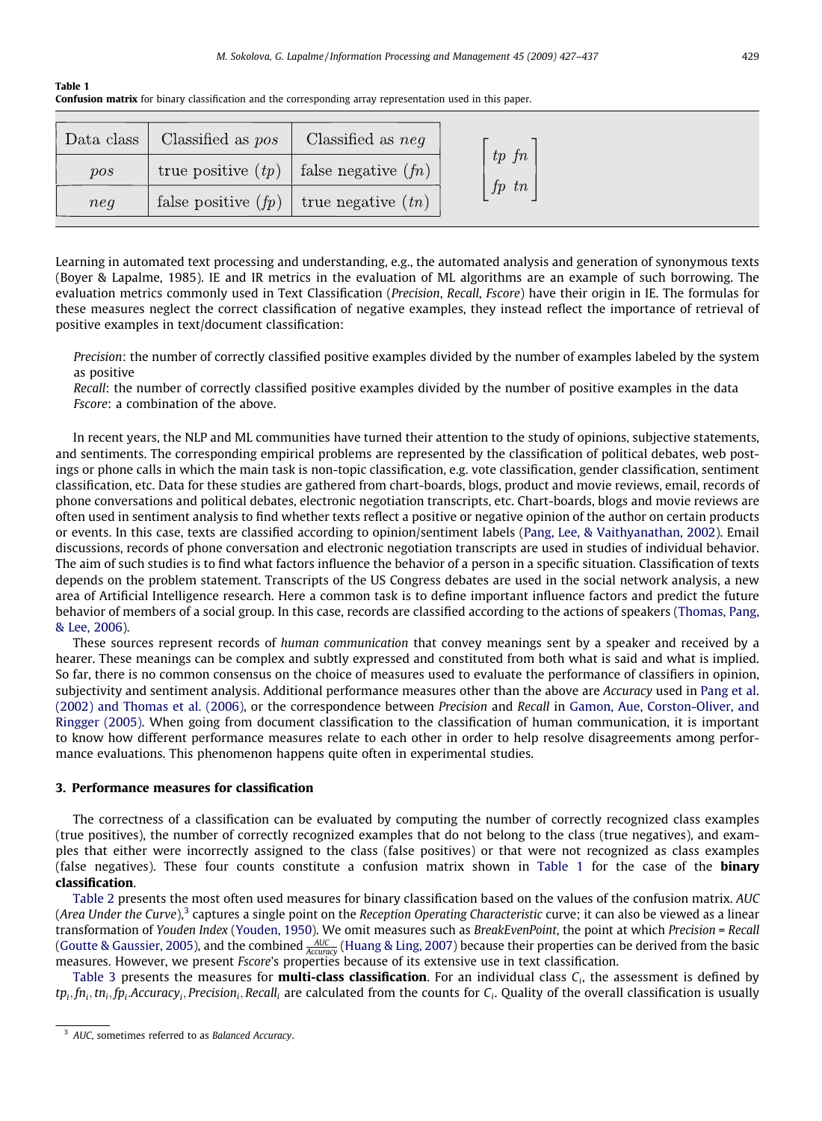<span id="page-2-0"></span>

| Data class | Classified as pos    | Classified as $neq$    |
|------------|----------------------|------------------------|
| pos        | true positive $(tp)$ | false negative $(f_n)$ |
| neq        | false positive $(p)$ | true negative $(tn)$   |

Learning in automated text processing and understanding, e.g., the automated analysis and generation of synonymous texts (Boyer & Lapalme, 1985). IE and IR metrics in the evaluation of ML algorithms are an example of such borrowing. The evaluation metrics commonly used in Text Classification (Precision, Recall, Fscore) have their origin in IE. The formulas for these measures neglect the correct classification of negative examples, they instead reflect the importance of retrieval of positive examples in text/document classification:

Precision: the number of correctly classified positive examples divided by the number of examples labeled by the system as positive

Recall: the number of correctly classified positive examples divided by the number of positive examples in the data Fscore: a combination of the above.

In recent years, the NLP and ML communities have turned their attention to the study of opinions, subjective statements, and sentiments. The corresponding empirical problems are represented by the classification of political debates, web postings or phone calls in which the main task is non-topic classification, e.g. vote classification, gender classification, sentiment classification, etc. Data for these studies are gathered from chart-boards, blogs, product and movie reviews, email, records of phone conversations and political debates, electronic negotiation transcripts, etc. Chart-boards, blogs and movie reviews are often used in sentiment analysis to find whether texts reflect a positive or negative opinion of the author on certain products or events. In this case, texts are classified according to opinion/sentiment labels [\(Pang, Lee, & Vaithyanathan, 2002](#page-9-0)). Email discussions, records of phone conversation and electronic negotiation transcripts are used in studies of individual behavior. The aim of such studies is to find what factors influence the behavior of a person in a specific situation. Classification of texts depends on the problem statement. Transcripts of the US Congress debates are used in the social network analysis, a new area of Artificial Intelligence research. Here a common task is to define important influence factors and predict the future behavior of members of a social group. In this case, records are classified according to the actions of speakers [\(Thomas, Pang,](#page-10-0) [& Lee, 2006](#page-10-0)).

These sources represent records of human communication that convey meanings sent by a speaker and received by a hearer. These meanings can be complex and subtly expressed and constituted from both what is said and what is implied. So far, there is no common consensus on the choice of measures used to evaluate the performance of classifiers in opinion, subjectivity and sentiment analysis. Additional performance measures other than the above are Accuracy used in [Pang et al.](#page-9-0) [\(2002\) and Thomas et al. \(2006\)](#page-9-0), or the correspondence between Precision and Recall in [Gamon, Aue, Corston-Oliver, and](#page-9-0) [Ringger \(2005\).](#page-9-0) When going from document classification to the classification of human communication, it is important to know how different performance measures relate to each other in order to help resolve disagreements among performance evaluations. This phenomenon happens quite often in experimental studies.

#### 3. Performance measures for classification

The correctness of a classification can be evaluated by computing the number of correctly recognized class examples (true positives), the number of correctly recognized examples that do not belong to the class (true negatives), and examples that either were incorrectly assigned to the class (false positives) or that were not recognized as class examples (false negatives). These four counts constitute a confusion matrix shown in Table 1 for the case of the **binary** classification.

[Table 2](#page-3-0) presents the most often used measures for binary classification based on the values of the confusion matrix. AUC (Area Under the Curve),<sup>3</sup> captures a single point on the Reception Operating Characteristic curve; it can also be viewed as a linear transformation of Youden Index [\(Youden, 1950\)](#page-10-0). We omit measures such as BreakEvenPoint, the point at which Precision = Recall ([Goutte & Gaussier, 2005](#page-9-0)), and the combined  $\frac{AUC}{Accuracy}$  ([Huang & Ling, 2007](#page-9-0)) because their properties can be derived from the basic measures. However, we present Fscore's properties because of its extensive use in text classification.

[Table 3](#page-3-0) presents the measures for **multi-class classification**. For an individual class  $C_i$ , the assessment is defined by  $tp_i, fn_i, tn_i, fp_i. Accuracy_i, Precision_i, Recall_i$  are calculated from the counts for  $C_i$ . Quality of the overall classification is usually

<sup>&</sup>lt;sup>3</sup> AUC, sometimes referred to as Balanced Accuracy.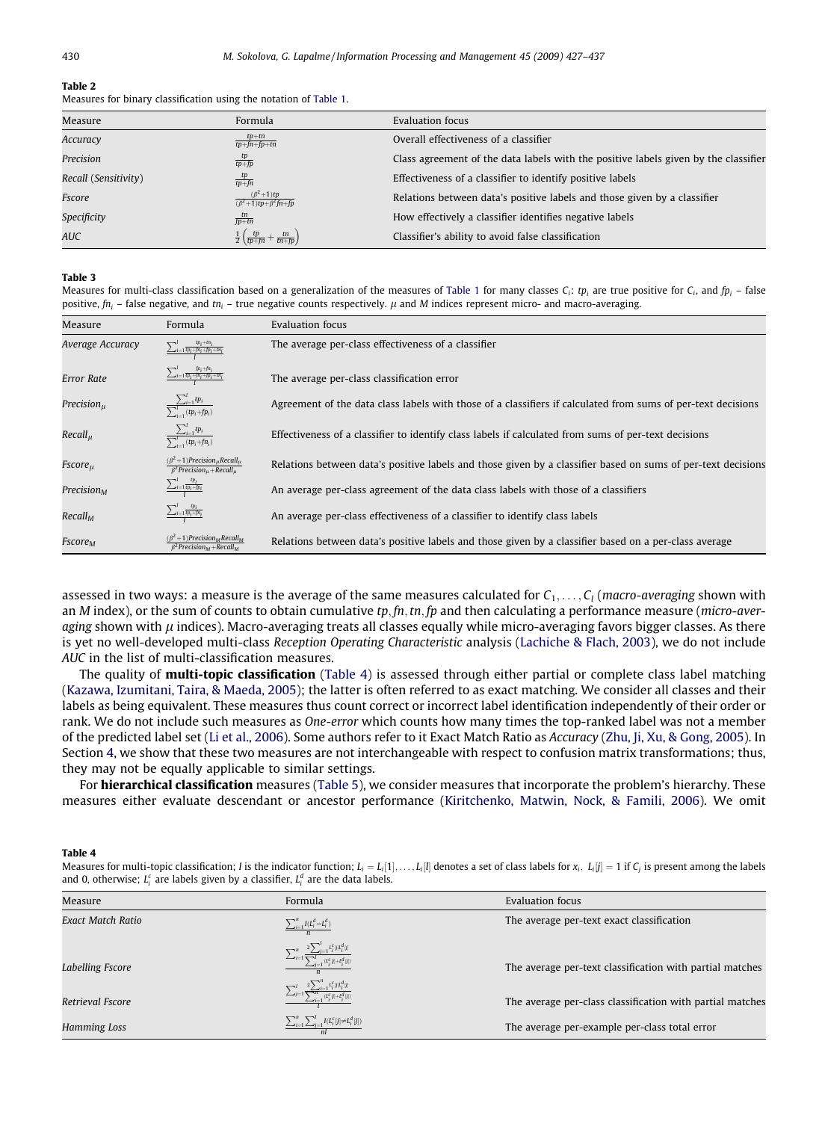<span id="page-3-0"></span>Measures for binary classification using the notation of [Table 1](#page-2-0).

| Measure              | Formula                                         | Evaluation focus                                                                    |
|----------------------|-------------------------------------------------|-------------------------------------------------------------------------------------|
| Accuracy             | $\frac{tp+tn}{tp+fn+fp+tn}$                     | Overall effectiveness of a classifier                                               |
| Precision            | $\frac{tp}{tp+fp}$                              | Class agreement of the data labels with the positive labels given by the classifier |
| Recall (Sensitivity) | $\frac{tp}{tp+fn}$                              | Effectiveness of a classifier to identify positive labels                           |
| Fscore               | $(\beta^2+1)tp$<br>$(\beta^2+1)tp+\beta^2fn+fp$ | Relations between data's positive labels and those given by a classifier            |
| Specificity          | $\frac{tn}{fp+tn}$                              | How effectively a classifier identifies negative labels                             |
| <b>AUC</b>           | $-\frac{tn}{tn+fp}$                             | Classifier's ability to avoid false classification                                  |

#### Table 3

Measures for multi-class classification based on a generalization of the measures of [Table 1](#page-2-0) for many classes  $C_i$ : tp<sub>i</sub> are true positive for  $C_i$ , and  $fp_i$  – false positive,  $fn_i$  – false negative, and  $tn_i$  – true negative counts respectively.  $\mu$  and M indices represent micro- and macro-averaging.

| Measure                | Formula                                                                                                    | Evaluation focus                                                                                             |
|------------------------|------------------------------------------------------------------------------------------------------------|--------------------------------------------------------------------------------------------------------------|
| Average Accuracy       |                                                                                                            | The average per-class effectiveness of a classifier                                                          |
| <b>Error Rate</b>      | $\sum_{i=1}^l \frac{fp_i+fn_i}{tp_i+fn_i+fp_i+tn_i}$                                                       | The average per-class classification error                                                                   |
| Precision $\mu$        | $\frac{\sum_{i=1}^l tp_i}{\sum_{i=1}^l (tp_i + fp_i)}$                                                     | Agreement of the data class labels with those of a classifiers if calculated from sums of per-text decisions |
| Recall <sub>u</sub>    | $\frac{\sum_{i=1}^l tp_i}{\sum_{i=1}^l (tp_i + fn_i)}$                                                     | Effectiveness of a classifier to identify class labels if calculated from sums of per-text decisions         |
| $Fscore_\mu$           | $+1)$ Precision <sub>u</sub> Recall <sub>u</sub><br>$\beta^2$ Precision <sub>u</sub> +Recall <sub>u</sub>  | Relations between data's positive labels and those given by a classifier based on sums of per-text decisions |
| Precision <sub>M</sub> | $\sum_{i=1}^l\frac{tp_i}{tp_i+fp_i}$                                                                       | An average per-class agreement of the data class labels with those of a classifiers                          |
| Recall <sub>M</sub>    | $\sum_{i=1}^l\frac{tp_i}{tp_i+fn_i}$                                                                       | An average per-class effectiveness of a classifier to identify class labels                                  |
| Fscore <sub>M</sub>    | $+1)$ Precision <sub>M</sub> Recall <sub>M</sub><br>$\beta^2$ Precision <sub>M</sub> + Recall <sub>M</sub> | Relations between data's positive labels and those given by a classifier based on a per-class average        |

assessed in two ways: a measure is the average of the same measures calculated for  $C_1, \ldots, C_l$  (*macro-averaging* shown with an M index), or the sum of counts to obtain cumulative  $tp, fn, tn, fp$  and then calculating a performance measure (micro-averaging shown with  $\mu$  indices). Macro-averaging treats all classes equally while micro-averaging favors bigger classes. As there is yet no well-developed multi-class Reception Operating Characteristic analysis ([Lachiche & Flach, 2003](#page-9-0)), we do not include AUC in the list of multi-classification measures.

The quality of multi-topic classification (Table 4) is assessed through either partial or complete class label matching [\(Kazawa, Izumitani, Taira, & Maeda, 2005](#page-9-0)); the latter is often referred to as exact matching. We consider all classes and their labels as being equivalent. These measures thus count correct or incorrect label identification independently of their order or rank. We do not include such measures as One-error which counts how many times the top-ranked label was not a member of the predicted label set ([Li et al., 2006\)](#page-9-0). Some authors refer to it Exact Match Ratio as Accuracy ([Zhu, Ji, Xu, & Gong, 2005\)](#page-10-0). In Section 4, we show that these two measures are not interchangeable with respect to confusion matrix transformations; thus, they may not be equally applicable to similar settings.

For **hierarchical classification** measures ([Table 5\)](#page-4-0), we consider measures that incorporate the problem's hierarchy. These measures either evaluate descendant or ancestor performance ([Kiritchenko, Matwin, Nock, & Famili, 2006\)](#page-9-0). We omit

#### Table 4

Measures for multi-topic classification; I is the indicator function;  $L_i = L_i[1], \ldots, L_i[l]$  denotes a set of class labels for  $x_i$ ,  $L_i[j] = 1$  if  $C_j$  is present among the labels and 0, otherwise;  $L_i^c$  are labels given by a classifier,  $L_i^d$  are the data labels.

| Measure           | Formula                                                                                                                    | Evaluation focus                                          |
|-------------------|----------------------------------------------------------------------------------------------------------------------------|-----------------------------------------------------------|
| Exact Match Ratio | $\sum_{i=1}^n I(L_i^d = L_i^d)$                                                                                            | The average per-text exact classification                 |
|                   | $\sum\nolimits_{i=1}^n \frac{{2\sum\nolimits_{j=1}^l {t_i^c[j t_i^d[j]}}}{{\sum\nolimits_{i=1}^l {(t_i^c[j]+t_i^d[j])} }}$ |                                                           |
| Labelling Fscore  |                                                                                                                            | The average per-text classification with partial matches  |
|                   |                                                                                                                            |                                                           |
| Retrieval Fscore  |                                                                                                                            | The average per-class classification with partial matches |
| Hamming Loss      | $\sum_{i=1}^n\sum_{j=1}^l I(L_i^c[j] \neq L_i^d[j])$                                                                       | The average per-example per-class total error             |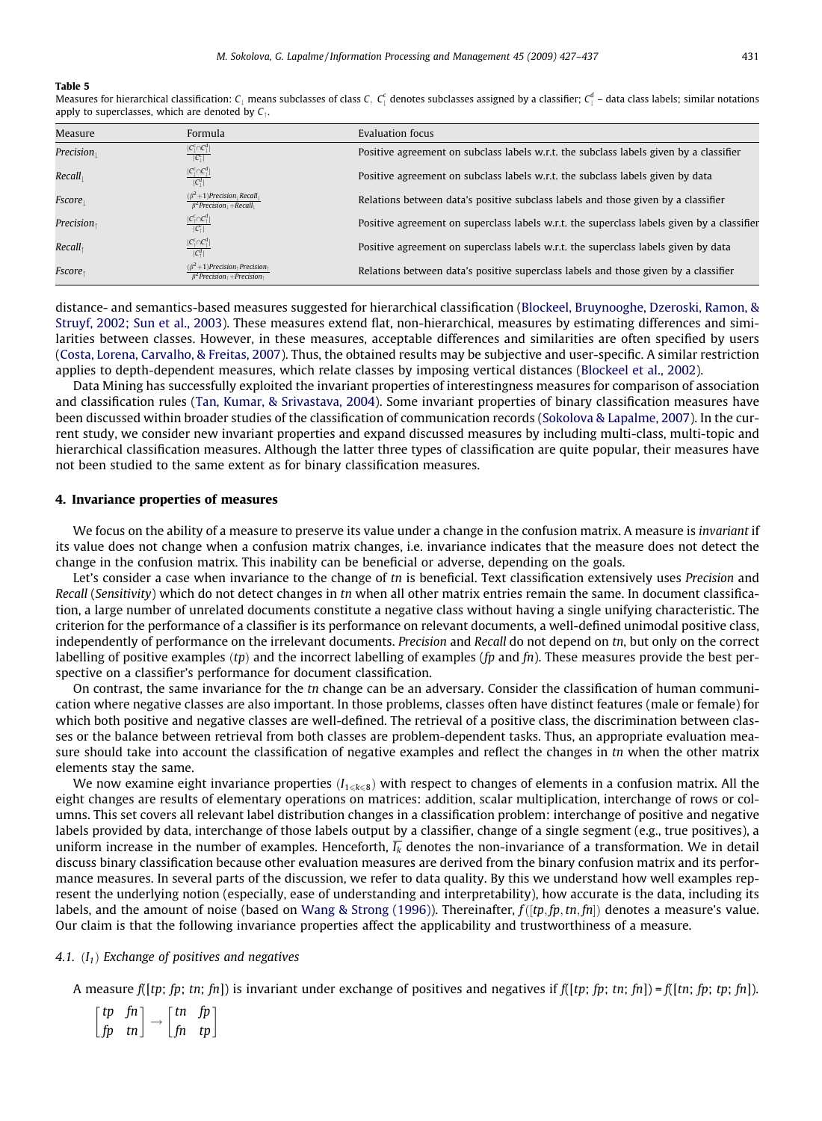<span id="page-4-0"></span>Measures for hierarchical classification:  $C_\parallel$  means subclasses of class  $C, \ C_\perp^c$  denotes subclasses assigned by a classifier;  $C_\perp^d$  – data class labels; similar notations apply to superclasses, which are denoted by  $C_1$ .

| Measure             | Formula                                                                                                                 | Evaluation focus                                                                           |
|---------------------|-------------------------------------------------------------------------------------------------------------------------|--------------------------------------------------------------------------------------------|
| Precision           | $ C^{\mathfrak{c}}_1\cap C^{\mathfrak{a}}_1 $<br>$ C_1 $                                                                | Positive agreement on subclass labels w.r.t. the subclass labels given by a classifier     |
| $Recall_1$          | $ C_{\downarrow}^c \cap C_{\downarrow}^d$<br>$ C^d $                                                                    | Positive agreement on subclass labels w.r.t. the subclass labels given by data             |
| Fscore <sub>1</sub> | $(\beta^2+1)$ Precision Recall<br>$\beta^2$ Precision + Recall                                                          | Relations between data's positive subclass labels and those given by a classifier          |
| Precision $_1$      | $ C^c_\uparrow \cap C^d_\uparrow $<br>$ C_t^c $                                                                         | Positive agreement on superclass labels w.r.t. the superclass labels given by a classifier |
| $Recall_{\uparrow}$ | $\frac{ C_{\uparrow}^c \cap C_{\uparrow}^d }{ C_{\uparrow}^d }$                                                         | Positive agreement on superclass labels w.r.t. the superclass labels given by data         |
| Fscore <sub>†</sub> | $(\beta^2+1)$ Precision <sub>1</sub> Precision <sub>1</sub><br>$\beta^2$ Precision <sub>1</sub> +Precision <sub>1</sub> | Relations between data's positive superclass labels and those given by a classifier        |

distance- and semantics-based measures suggested for hierarchical classification ([Blockeel, Bruynooghe, Dzeroski, Ramon, &](#page-9-0) [Struyf, 2002; Sun et al., 2003](#page-9-0)). These measures extend flat, non-hierarchical, measures by estimating differences and similarities between classes. However, in these measures, acceptable differences and similarities are often specified by users ([Costa, Lorena, Carvalho, & Freitas, 2007](#page-9-0)). Thus, the obtained results may be subjective and user-specific. A similar restriction applies to depth-dependent measures, which relate classes by imposing vertical distances ([Blockeel et al., 2002](#page-9-0)).

Data Mining has successfully exploited the invariant properties of interestingness measures for comparison of association and classification rules ([Tan, Kumar, & Srivastava, 2004](#page-10-0)). Some invariant properties of binary classification measures have been discussed within broader studies of the classification of communication records [\(Sokolova & Lapalme, 2007](#page-10-0)). In the current study, we consider new invariant properties and expand discussed measures by including multi-class, multi-topic and hierarchical classification measures. Although the latter three types of classification are quite popular, their measures have not been studied to the same extent as for binary classification measures.

#### 4. Invariance properties of measures

We focus on the ability of a measure to preserve its value under a change in the confusion matrix. A measure is *invariant* if its value does not change when a confusion matrix changes, i.e. invariance indicates that the measure does not detect the change in the confusion matrix. This inability can be beneficial or adverse, depending on the goals.

Let's consider a case when invariance to the change of tn is beneficial. Text classification extensively uses Precision and Recall (Sensitivity) which do not detect changes in tn when all other matrix entries remain the same. In document classification, a large number of unrelated documents constitute a negative class without having a single unifying characteristic. The criterion for the performance of a classifier is its performance on relevant documents, a well-defined unimodal positive class, independently of performance on the irrelevant documents. Precision and Recall do not depend on tn, but only on the correct labelling of positive examples (tp) and the incorrect labelling of examples (fp and fn). These measures provide the best perspective on a classifier's performance for document classification.

On contrast, the same invariance for the  $tn$  change can be an adversary. Consider the classification of human communication where negative classes are also important. In those problems, classes often have distinct features (male or female) for which both positive and negative classes are well-defined. The retrieval of a positive class, the discrimination between classes or the balance between retrieval from both classes are problem-dependent tasks. Thus, an appropriate evaluation measure should take into account the classification of negative examples and reflect the changes in tn when the other matrix elements stay the same.

We now examine eight invariance properties  $(I_{1\leq k\leq 8})$  with respect to changes of elements in a confusion matrix. All the eight changes are results of elementary operations on matrices: addition, scalar multiplication, interchange of rows or columns. This set covers all relevant label distribution changes in a classification problem: interchange of positive and negative labels provided by data, interchange of those labels output by a classifier, change of a single segment (e.g., true positives), a uniform increase in the number of examples. Henceforth,  $\bar{l}_k$  denotes the non-invariance of a transformation. We in detail discuss binary classification because other evaluation measures are derived from the binary confusion matrix and its performance measures. In several parts of the discussion, we refer to data quality. By this we understand how well examples represent the underlying notion (especially, ease of understanding and interpretability), how accurate is the data, including its labels, and the amount of noise (based on [Wang & Strong \(1996\)](#page-10-0)). Thereinafter,  $f([tp, fp, tn, fn])$  denotes a measure's value. Our claim is that the following invariance properties affect the applicability and trustworthiness of a measure.

#### 4.1.  $(I_1)$  Exchange of positives and negatives

A measure  $f([tp; fp; tn; fn])$  is invariant under exchange of positives and negatives if  $f([tp; fp; tn; fn]) = f([tn; fp; tp])$ .

| $\begin{bmatrix} tp & fn \\ fp & tn \end{bmatrix} \rightarrow \begin{bmatrix} tn & fp \\ fn & tp \end{bmatrix}$ |  |  |  |
|-----------------------------------------------------------------------------------------------------------------|--|--|--|
|                                                                                                                 |  |  |  |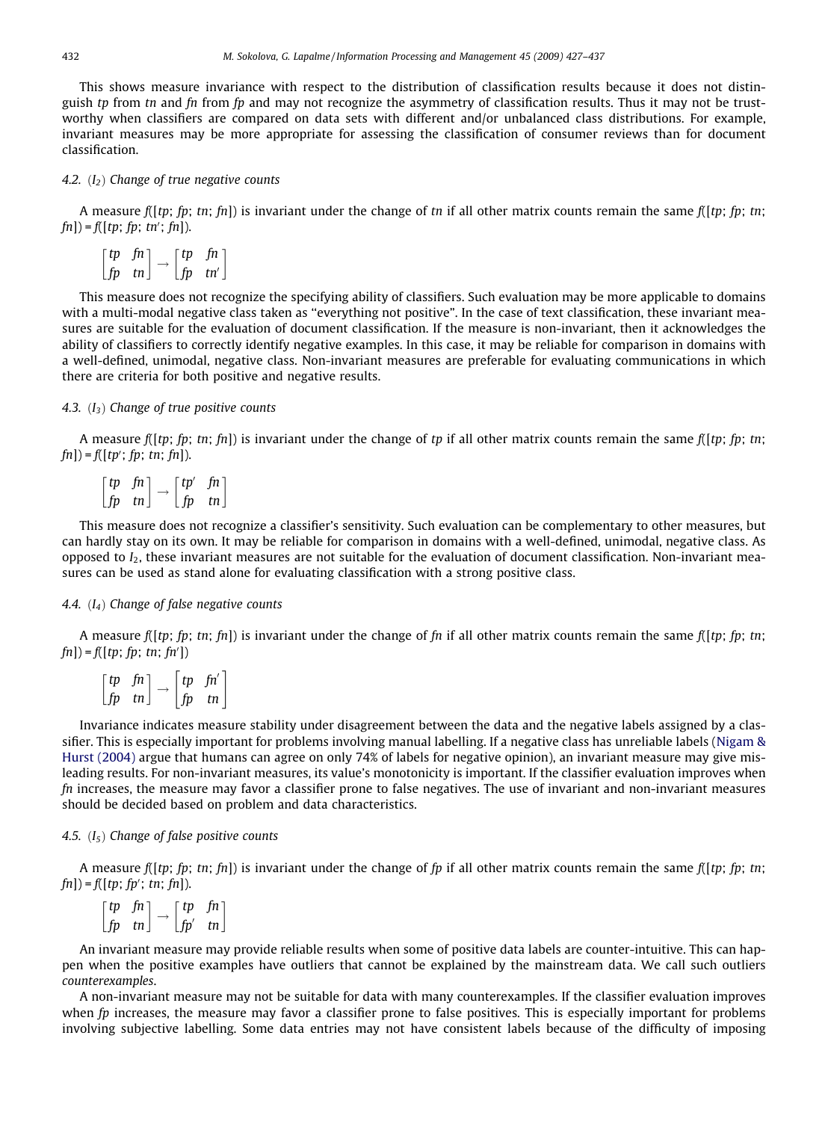This shows measure invariance with respect to the distribution of classification results because it does not distinguish tp from tn and fn from fp and may not recognize the asymmetry of classification results. Thus it may not be trustworthy when classifiers are compared on data sets with different and/or unbalanced class distributions. For example, invariant measures may be more appropriate for assessing the classification of consumer reviews than for document classification.

## 4.2.  $(I_2)$  Change of true negative counts

A measure  $f([tp; fp; tn; fn])$  is invariant under the change of tn if all other matrix counts remain the same  $f([tp; fp; tn;$  $fn]) = f([tp; fp; tn'; fn]).$ 

 $\begin{bmatrix} tp & fn \\ fp & tn \end{bmatrix} \rightarrow \begin{bmatrix} tp & fn \\ fp & tn \end{bmatrix}$  $\lceil tn - fn \rceil$ 

This measure does not recognize the specifying ability of classifiers. Such evaluation may be more applicable to domains with a multi-modal negative class taken as ''everything not positive". In the case of text classification, these invariant measures are suitable for the evaluation of document classification. If the measure is non-invariant, then it acknowledges the ability of classifiers to correctly identify negative examples. In this case, it may be reliable for comparison in domains with a well-defined, unimodal, negative class. Non-invariant measures are preferable for evaluating communications in which there are criteria for both positive and negative results.

# 4.3.  $(I_3)$  Change of true positive counts

A measure f([tp; fp; tn; fn]) is invariant under the change of tp if all other matrix counts remain the same f([tp; fp; tn;  $fn]) = f([tp'; fp; tn; fn]).$ 

$$
\begin{bmatrix}tp&fn\\fp&tn\end{bmatrix}\rightarrow\begin{bmatrix}tp'&fn\\fp&tn\end{bmatrix}
$$

This measure does not recognize a classifier's sensitivity. Such evaluation can be complementary to other measures, but can hardly stay on its own. It may be reliable for comparison in domains with a well-defined, unimodal, negative class. As opposed to  $I_2$ , these invariant measures are not suitable for the evaluation of document classification. Non-invariant measures can be used as stand alone for evaluating classification with a strong positive class.

#### 4.4.  $(I_4)$  Change of false negative counts

A measure  $f([tp; fp; tn; fn])$  is invariant under the change of fn if all other matrix counts remain the same  $f([tp; fp; tn;$  $fn$ ]) =  $f([tp; fp; tn; fn'])$ 

|  |  | $\begin{bmatrix} tp & fn \\ fp & tn \end{bmatrix} \rightarrow \begin{bmatrix} tp & fn' \\ fp & tn \end{bmatrix}$ |  |
|--|--|------------------------------------------------------------------------------------------------------------------|--|
|  |  |                                                                                                                  |  |

Invariance indicates measure stability under disagreement between the data and the negative labels assigned by a clas-sifier. This is especially important for problems involving manual labelling. If a negative class has unreliable labels ([Nigam &](#page-9-0) [Hurst \(2004\)](#page-9-0) argue that humans can agree on only 74% of labels for negative opinion), an invariant measure may give misleading results. For non-invariant measures, its value's monotonicity is important. If the classifier evaluation improves when  $fn$  increases, the measure may favor a classifier prone to false negatives. The use of invariant and non-invariant measures should be decided based on problem and data characteristics.

# 4.5.  $(I_5)$  Change of false positive counts

A measure  $f([tp; fp; tn; fn])$  is invariant under the change of fp if all other matrix counts remain the same  $f([tp; fp; tn; b])$  $fn$ ]) =  $f({tp; fp'; tn; fn)}$ .

 $\begin{bmatrix} tp & fn \\ fp & tn \end{bmatrix} \rightarrow \begin{bmatrix} tp & fn \\ fp' & tn \end{bmatrix}$ 

An invariant measure may provide reliable results when some of positive data labels are counter-intuitive. This can happen when the positive examples have outliers that cannot be explained by the mainstream data. We call such outliers counterexamples.

A non-invariant measure may not be suitable for data with many counterexamples. If the classifier evaluation improves when fp increases, the measure may favor a classifier prone to false positives. This is especially important for problems involving subjective labelling. Some data entries may not have consistent labels because of the difficulty of imposing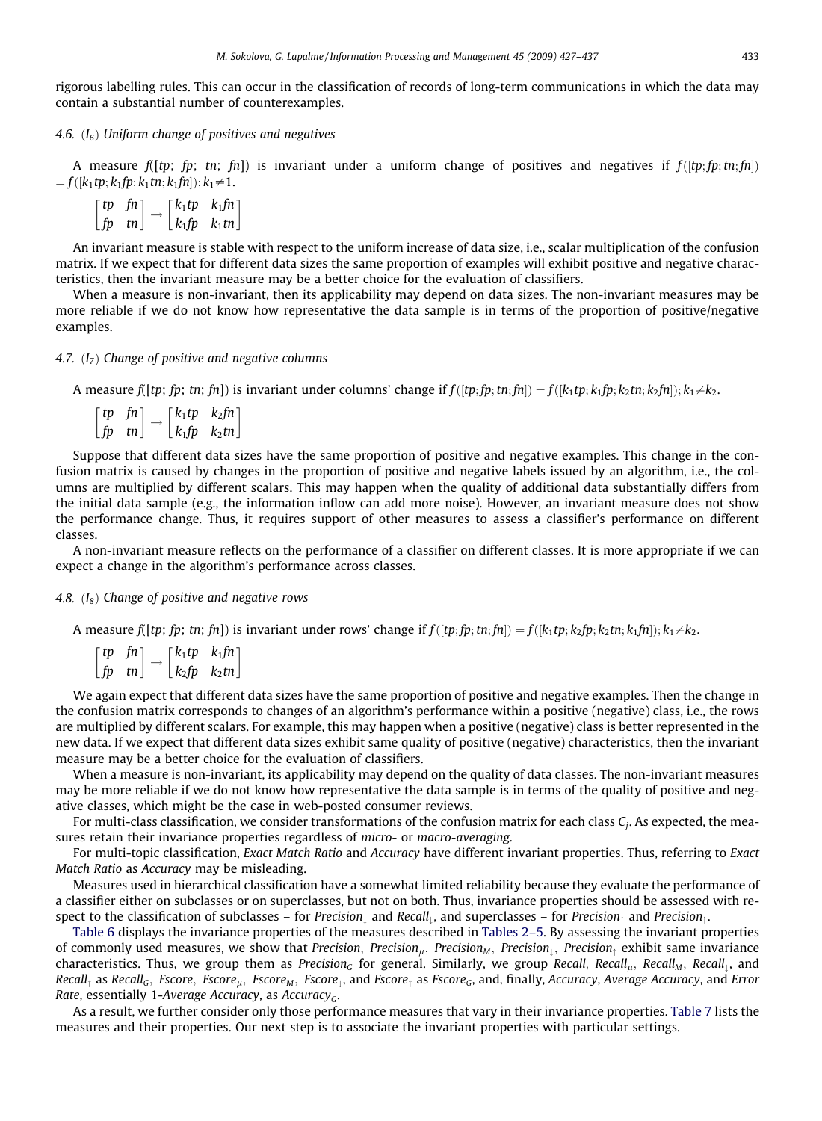rigorous labelling rules. This can occur in the classification of records of long-term communications in which the data may contain a substantial number of counterexamples.

# 4.6.  $(I<sub>6</sub>)$  Uniform change of positives and negatives

A measure  $f([tp; fp; tn; fn])$  is invariant under a uniform change of positives and negatives if  $f([tp; fp; tn; fn])$  $=f([k_1tp; k_1fp; k_1 tn; k_1fn]); k_1\neq 1.$ 

|  |  | $\begin{bmatrix} tp & fn \\ fp & tn \end{bmatrix} \rightarrow \begin{bmatrix} k_1 tp & k_1 fn \\ k_1 fp & k_1 tn \end{bmatrix}$ |  |
|--|--|---------------------------------------------------------------------------------------------------------------------------------|--|

An invariant measure is stable with respect to the uniform increase of data size, i.e., scalar multiplication of the confusion matrix. If we expect that for different data sizes the same proportion of examples will exhibit positive and negative characteristics, then the invariant measure may be a better choice for the evaluation of classifiers.

When a measure is non-invariant, then its applicability may depend on data sizes. The non-invariant measures may be more reliable if we do not know how representative the data sample is in terms of the proportion of positive/negative examples.

# 4.7.  $(I_7)$  Change of positive and negative columns

A measure f([tp; fp; tn; fn]) is invariant under columns' change if  $f([tp;fp;tn;fn]) = f([k_1tp;k_1fp;k_2tn;k_3fn]); k_1 \neq k_2.$ 

|  |  | $\begin{bmatrix} tp & fn \\ fp & tn \end{bmatrix} \rightarrow \begin{bmatrix} k_1 tp & k_2 fn \\ k_1 fp & k_2 tn \end{bmatrix}$ |
|--|--|---------------------------------------------------------------------------------------------------------------------------------|

Suppose that different data sizes have the same proportion of positive and negative examples. This change in the confusion matrix is caused by changes in the proportion of positive and negative labels issued by an algorithm, i.e., the columns are multiplied by different scalars. This may happen when the quality of additional data substantially differs from the initial data sample (e.g., the information inflow can add more noise). However, an invariant measure does not show the performance change. Thus, it requires support of other measures to assess a classifier's performance on different classes.

A non-invariant measure reflects on the performance of a classifier on different classes. It is more appropriate if we can expect a change in the algorithm's performance across classes.

## 4.8.  $(I_8)$  Change of positive and negative rows

A measure  $f([tp; fp; tn; fn])$  is invariant under rows' change if  $f([tp; fp; tn; fn]) = f([k_1tp;k_2fp;k_2tn;k_1fn]); k_1 \neq k_2.$ 

 $\begin{bmatrix} tp & fn \\ fp & tn \end{bmatrix} \rightarrow \begin{bmatrix} k_1 tp & k_1 fn \\ k_2 fp & k_2 tn \end{bmatrix}$ 

We again expect that different data sizes have the same proportion of positive and negative examples. Then the change in the confusion matrix corresponds to changes of an algorithm's performance within a positive (negative) class, i.e., the rows are multiplied by different scalars. For example, this may happen when a positive (negative) class is better represented in the new data. If we expect that different data sizes exhibit same quality of positive (negative) characteristics, then the invariant measure may be a better choice for the evaluation of classifiers.

When a measure is non-invariant, its applicability may depend on the quality of data classes. The non-invariant measures may be more reliable if we do not know how representative the data sample is in terms of the quality of positive and negative classes, which might be the case in web-posted consumer reviews.

For multi-class classification, we consider transformations of the confusion matrix for each class  $C_i$ . As expected, the measures retain their invariance properties regardless of micro- or macro-averaging.

For multi-topic classification, Exact Match Ratio and Accuracy have different invariant properties. Thus, referring to Exact Match Ratio as Accuracy may be misleading.

Measures used in hierarchical classification have a somewhat limited reliability because they evaluate the performance of a classifier either on subclasses or on superclasses, but not on both. Thus, invariance properties should be assessed with respect to the classification of subclasses – for Precision<sub>1</sub> and Recall<sub>1</sub>, and superclasses – for Precision<sub>1</sub> and Precision<sub>1</sub>.

[Table 6](#page-7-0) displays the invariance properties of the measures described in [Tables 2–5.](#page-3-0) By assessing the invariant properties of commonly used measures, we show that Precision, Precision<sub>µ</sub>, Precision<sub>M</sub>, Precision<sub>1</sub>, Precision<sub>1</sub> exhibit same invariance characteristics. Thus, we group them as Precision<sub>G</sub> for general. Similarly, we group Recall, Recall<sub>u</sub>, Recall<sub>M</sub>, Recall<sub>1</sub>, and  $Recall_1$  as Recall<sub>G</sub>, Fscore, Fscore<sub>M</sub>, Fscore<sub>M</sub>, Fscore<sub>1</sub>, and Fscore<sub>1</sub> as Fscore<sub>G</sub>, and, finally, Accuracy, Average Accuracy, and Error Rate, essentially 1-Average Accuracy, as Accuracy<sub>G</sub>.

As a result, we further consider only those performance measures that vary in their invariance properties. [Table 7](#page-7-0) lists the measures and their properties. Our next step is to associate the invariant properties with particular settings.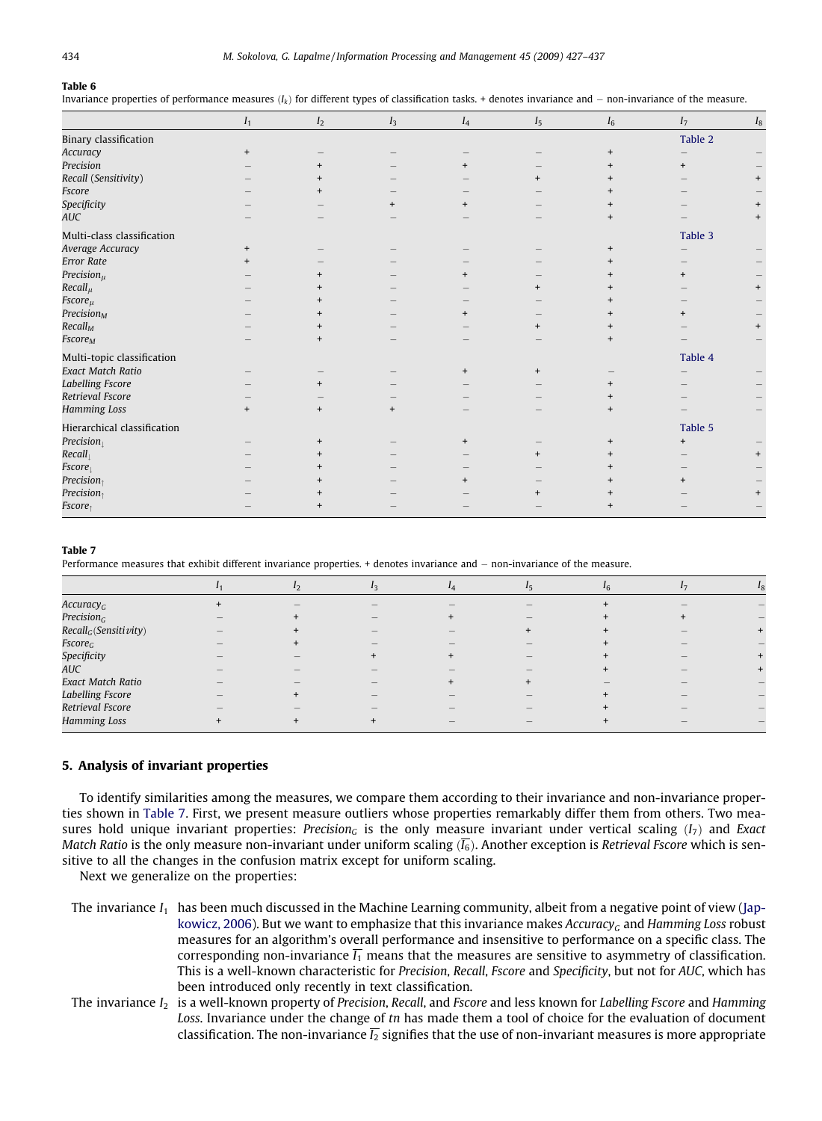<span id="page-7-0"></span>Invariance properties of performance measures  $(I_k)$  for different types of classification tasks. + denotes invariance and  $-$  non-invariance of the measure.

|                              | $I_1$     | I <sub>2</sub> | $I_3$ | $I_4$     | $I_5$                            | $I_6$     | I <sub>7</sub> | $I_8$     |
|------------------------------|-----------|----------------|-------|-----------|----------------------------------|-----------|----------------|-----------|
| <b>Binary classification</b> |           |                |       |           |                                  |           | Table 2        |           |
| Accuracy                     | $+$       |                |       |           |                                  | $+$       |                |           |
| Precision                    |           | $\ddot{}$      |       | $+$       |                                  |           | $\ddot{}$      |           |
| Recall (Sensitivity)         |           | $\ddot{}$      |       |           | $\ddot{}$                        |           |                | $\ddot{}$ |
| Fscore                       |           | $+$            |       |           |                                  |           |                |           |
| Specificity                  |           |                | $+$   | $\ddot{}$ |                                  |           |                |           |
| <b>AUC</b>                   |           |                |       |           |                                  | $\ddot{}$ |                |           |
| Multi-class classification   |           |                |       |           |                                  |           | Table 3        |           |
| Average Accuracy             | $\ddot{}$ |                |       |           |                                  | $\pm$     |                |           |
| <b>Error Rate</b>            | $\ddot{}$ |                |       |           |                                  |           |                |           |
| Precision $\mu$              |           | $\ddot{}$      |       | $+$       |                                  |           | $+$            |           |
| $Recall_\mu$                 |           | +              |       |           | $+$                              |           |                | $\ddot{}$ |
| $Fscore_\mu$                 |           | $\ddot{}$      |       |           |                                  |           |                |           |
| Precision $_M$               |           | $\ddot{}$      |       | $+$       |                                  |           | $+$            |           |
| Recall <sub>M</sub>          |           | $\ddot{}$      |       |           | $\ddot{}$                        | $\ddot{}$ |                |           |
| Fscore <sub>M</sub>          |           | $\ddot{}$      |       |           |                                  | $+$       |                |           |
| Multi-topic classification   |           |                |       |           |                                  |           | Table 4        |           |
| <b>Exact Match Ratio</b>     |           |                |       | $\ddot{}$ | $\begin{array}{c} + \end{array}$ |           |                |           |
| <b>Labelling Fscore</b>      |           | $+$            |       |           |                                  | $\ddot{}$ |                |           |
| Retrieval Fscore             |           |                |       |           |                                  | $\ddot{}$ |                |           |
| <b>Hamming Loss</b>          | $+$       | $+$            | $+$   |           |                                  | $\ddot{}$ |                |           |
| Hierarchical classification  |           |                |       |           |                                  |           | Table 5        |           |
| Precision $_1$               |           | $\ddot{}$      |       | $+$       |                                  | $\ddot{}$ | $+$            |           |
| $Recall_{\perp}$             |           | $\ddot{}$      |       |           | $+$                              | $\ddot{}$ |                |           |
| Fscore <sub>1</sub>          |           | $\ddot{}$      |       |           |                                  |           |                |           |
| Precision $_1$               |           | $\ddot{}$      |       | $\ddot{}$ |                                  |           | $\ddot{}$      |           |
| Precision $_1$               |           |                |       |           | $\begin{array}{c} + \end{array}$ |           |                |           |
| Fscore <sub>†</sub>          |           | $\ddot{}$      |       |           |                                  |           |                |           |

# Table 7

Performance measures that exhibit different invariance properties.  $+$  denotes invariance and  $-$  non-invariance of the measure.

|                          | $\mathsf{L}$ |  | I <sub>6</sub> | 18 |
|--------------------------|--------------|--|----------------|----|
| Accuracy <sub>G</sub>    |              |  |                |    |
| Precision $_G$           |              |  |                |    |
| $Recall_G(Sensitivity)$  |              |  |                |    |
| Fscore <sub>G</sub>      |              |  |                |    |
| Specificity              |              |  |                |    |
| <b>AUC</b>               |              |  |                |    |
| <b>Exact Match Ratio</b> |              |  |                |    |
| <b>Labelling Fscore</b>  |              |  |                |    |
| Retrieval Fscore         |              |  |                |    |
| <b>Hamming Loss</b>      |              |  |                |    |

# 5. Analysis of invariant properties

To identify similarities among the measures, we compare them according to their invariance and non-invariance properties shown in Table 7. First, we present measure outliers whose properties remarkably differ them from others. Two measures hold unique invariant properties: Precision<sub>G</sub> is the only measure invariant under vertical scaling  $(I_7)$  and Exact *Match Ratio* is the only measure non-invariant under uniform scaling  $(\overline{l_6})$ . Another exception is Retrieval Fscore which is sensitive to all the changes in the confusion matrix except for uniform scaling.

Next we generalize on the properties:

The invariance  $I_1$  has been much discussed in the Machine Learning community, albeit from a negative point of view [\(Jap](#page-9-0)[kowicz, 2006\)](#page-9-0). But we want to emphasize that this invariance makes Accuracy<sub>G</sub> and Hamming Loss robust measures for an algorithm's overall performance and insensitive to performance on a specific class. The corresponding non-invariance  $\overline{I_1}$  means that the measures are sensitive to asymmetry of classification. This is a well-known characteristic for Precision, Recall, Fscore and Specificity, but not for AUC, which has been introduced only recently in text classification.

The invariance  $I_2$  is a well-known property of Precision, Recall, and Fscore and less known for Labelling Fscore and Hamming Loss. Invariance under the change of tn has made them a tool of choice for the evaluation of document classification. The non-invariance  $\overline{I_2}$  signifies that the use of non-invariant measures is more appropriate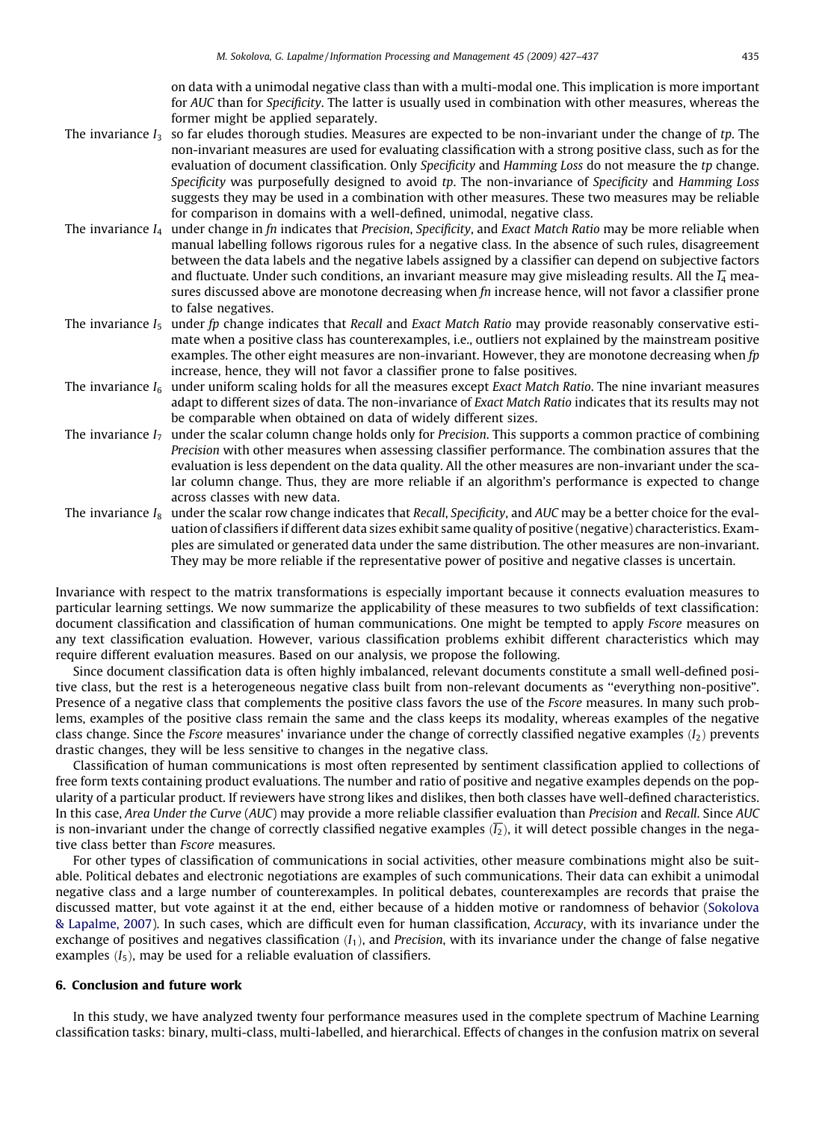on data with a unimodal negative class than with a multi-modal one. This implication is more important for AUC than for Specificity. The latter is usually used in combination with other measures, whereas the former might be applied separately.

- The invariance  $I_3$  so far eludes thorough studies. Measures are expected to be non-invariant under the change of tp. The non-invariant measures are used for evaluating classification with a strong positive class, such as for the evaluation of document classification. Only Specificity and Hamming Loss do not measure the tp change. Specificity was purposefully designed to avoid tp. The non-invariance of Specificity and Hamming Loss suggests they may be used in a combination with other measures. These two measures may be reliable for comparison in domains with a well-defined, unimodal, negative class.
- The invariance  $I_4$  under change in  $fn$  indicates that Precision, Specificity, and Exact Match Ratio may be more reliable when manual labelling follows rigorous rules for a negative class. In the absence of such rules, disagreement between the data labels and the negative labels assigned by a classifier can depend on subjective factors and fluctuate. Under such conditions, an invariant measure may give misleading results. All the  $\overline{I_4}$  measures discussed above are monotone decreasing when fn increase hence, will not favor a classifier prone to false negatives.
- The invariance  $I_5$  under fp change indicates that Recall and Exact Match Ratio may provide reasonably conservative estimate when a positive class has counterexamples, i.e., outliers not explained by the mainstream positive examples. The other eight measures are non-invariant. However, they are monotone decreasing when  $fp$ increase, hence, they will not favor a classifier prone to false positives.
- The invariance  $I_6$  under uniform scaling holds for all the measures except Exact Match Ratio. The nine invariant measures adapt to different sizes of data. The non-invariance of Exact Match Ratio indicates that its results may not be comparable when obtained on data of widely different sizes.
- The invariance  $I_7$  under the scalar column change holds only for Precision. This supports a common practice of combining Precision with other measures when assessing classifier performance. The combination assures that the evaluation is less dependent on the data quality. All the other measures are non-invariant under the scalar column change. Thus, they are more reliable if an algorithm's performance is expected to change across classes with new data.
- The invariance  $I_8$  under the scalar row change indicates that Recall, Specificity, and AUC may be a better choice for the evaluation of classifiers if different data sizes exhibit same quality of positive (negative) characteristics. Examples are simulated or generated data under the same distribution. The other measures are non-invariant. They may be more reliable if the representative power of positive and negative classes is uncertain.

Invariance with respect to the matrix transformations is especially important because it connects evaluation measures to particular learning settings. We now summarize the applicability of these measures to two subfields of text classification: document classification and classification of human communications. One might be tempted to apply *Fscore* measures on any text classification evaluation. However, various classification problems exhibit different characteristics which may require different evaluation measures. Based on our analysis, we propose the following.

Since document classification data is often highly imbalanced, relevant documents constitute a small well-defined positive class, but the rest is a heterogeneous negative class built from non-relevant documents as ''everything non-positive". Presence of a negative class that complements the positive class favors the use of the Fscore measures. In many such problems, examples of the positive class remain the same and the class keeps its modality, whereas examples of the negative class change. Since the *Fscore* measures' invariance under the change of correctly classified negative examples  $(I_2)$  prevents drastic changes, they will be less sensitive to changes in the negative class.

Classification of human communications is most often represented by sentiment classification applied to collections of free form texts containing product evaluations. The number and ratio of positive and negative examples depends on the popularity of a particular product. If reviewers have strong likes and dislikes, then both classes have well-defined characteristics. In this case, Area Under the Curve (AUC) may provide a more reliable classifier evaluation than Precision and Recall. Since AUC is non-invariant under the change of correctly classified negative examples  $(\overline{I_2})$ , it will detect possible changes in the negative class better than Fscore measures.

For other types of classification of communications in social activities, other measure combinations might also be suitable. Political debates and electronic negotiations are examples of such communications. Their data can exhibit a unimodal negative class and a large number of counterexamples. In political debates, counterexamples are records that praise the discussed matter, but vote against it at the end, either because of a hidden motive or randomness of behavior [\(Sokolova](#page-10-0) [& Lapalme, 2007\)](#page-10-0). In such cases, which are difficult even for human classification, Accuracy, with its invariance under the exchange of positives and negatives classification  $(I_1)$ , and *Precision*, with its invariance under the change of false negative examples  $(I_5)$ , may be used for a reliable evaluation of classifiers.

## 6. Conclusion and future work

In this study, we have analyzed twenty four performance measures used in the complete spectrum of Machine Learning classification tasks: binary, multi-class, multi-labelled, and hierarchical. Effects of changes in the confusion matrix on several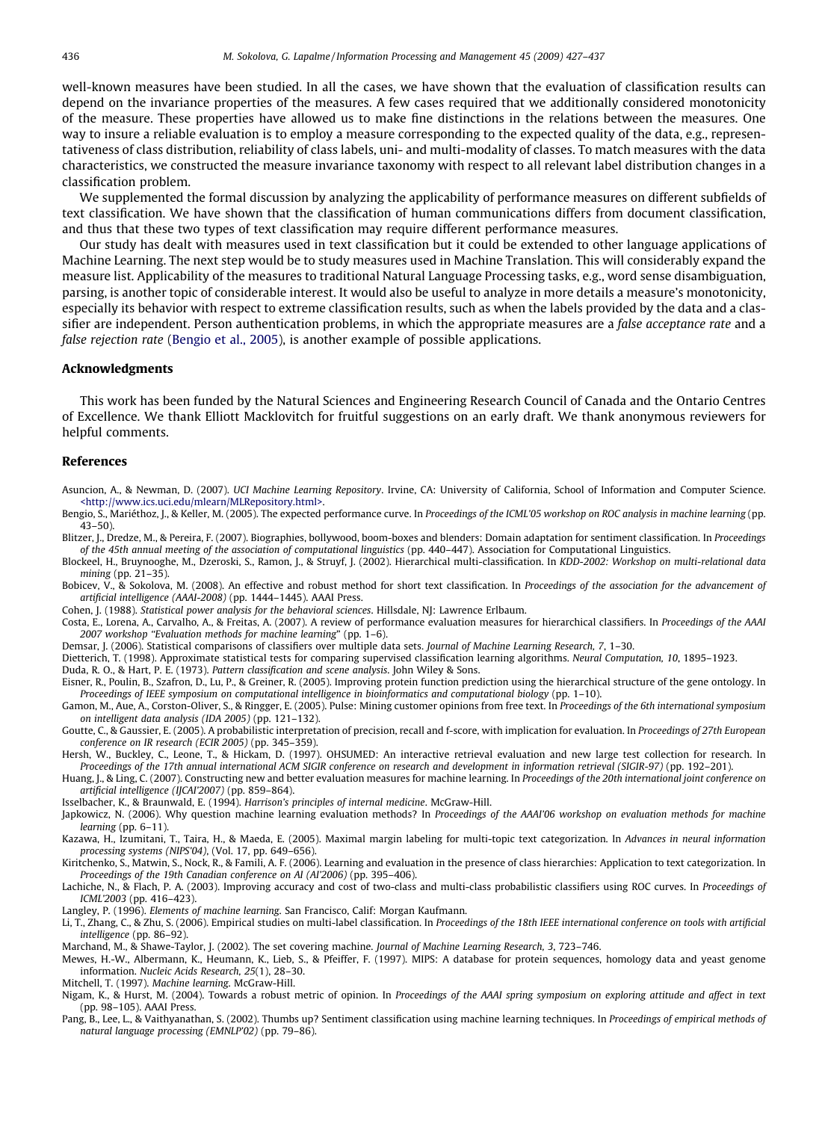<span id="page-9-0"></span>well-known measures have been studied. In all the cases, we have shown that the evaluation of classification results can depend on the invariance properties of the measures. A few cases required that we additionally considered monotonicity of the measure. These properties have allowed us to make fine distinctions in the relations between the measures. One way to insure a reliable evaluation is to employ a measure corresponding to the expected quality of the data, e.g., representativeness of class distribution, reliability of class labels, uni- and multi-modality of classes. To match measures with the data characteristics, we constructed the measure invariance taxonomy with respect to all relevant label distribution changes in a classification problem.

We supplemented the formal discussion by analyzing the applicability of performance measures on different subfields of text classification. We have shown that the classification of human communications differs from document classification, and thus that these two types of text classification may require different performance measures.

Our study has dealt with measures used in text classification but it could be extended to other language applications of Machine Learning. The next step would be to study measures used in Machine Translation. This will considerably expand the measure list. Applicability of the measures to traditional Natural Language Processing tasks, e.g., word sense disambiguation, parsing, is another topic of considerable interest. It would also be useful to analyze in more details a measure's monotonicity, especially its behavior with respect to extreme classification results, such as when the labels provided by the data and a classifier are independent. Person authentication problems, in which the appropriate measures are a false acceptance rate and a false rejection rate (Bengio et al., 2005), is another example of possible applications.

#### Acknowledgments

This work has been funded by the Natural Sciences and Engineering Research Council of Canada and the Ontario Centres of Excellence. We thank Elliott Macklovitch for fruitful suggestions on an early draft. We thank anonymous reviewers for helpful comments.

#### References

Asuncion, A., & Newman, D. (2007). UCI Machine Learning Repository. Irvine, CA: University of California, School of Information and Computer Science. [<http://www.ics.uci.edu/mlearn/MLRepository.html>.](http://www.ics.uci.edu/mlearn/MLRepository.html)

Bengio, S., Mariéthoz, J., & Keller, M. (2005). The expected performance curve. In Proceedings of the ICML'05 workshop on ROC analysis in machine learning (pp.  $(43-50)$ .

Blitzer, J., Dredze, M., & Pereira, F. (2007). Biographies, bollywood, boom-boxes and blenders: Domain adaptation for sentiment classification. In Proceedings of the 45th annual meeting of the association of computational linguistics (pp. 440–447). Association for Computational Linguistics.

Blockeel, H., Bruynooghe, M., Dzeroski, S., Ramon, J., & Struyf, J. (2002). Hierarchical multi-classification. In KDD-2002: Workshop on multi-relational data mining (pp. 21–35).

Bobicev, V., & Sokolova, M. (2008). An effective and robust method for short text classification. In Proceedings of the association for the advancement of artificial intelligence (AAAI-2008) (pp. 1444–1445). AAAI Press.

Cohen, J. (1988). Statistical power analysis for the behavioral sciences. Hillsdale, NJ: Lawrence Erlbaum.

Costa, E., Lorena, A., Carvalho, A., & Freitas, A. (2007). A review of performance evaluation measures for hierarchical classifiers. In Proceedings of the AAAI 2007 workshop ''Evaluation methods for machine learning" (pp. 1–6).

Demsar, J. (2006). Statistical comparisons of classifiers over multiple data sets. Journal of Machine Learning Research, 7, 1–30.

Dietterich, T. (1998). Approximate statistical tests for comparing supervised classification learning algorithms. Neural Computation, 10, 1895–1923.

Duda, R. O., & Hart, P. E. (1973). Pattern classification and scene analysis. John Wiley & Sons.

Eisner, R., Poulin, B., Szafron, D., Lu, P., & Greiner, R. (2005). Improving protein function prediction using the hierarchical structure of the gene ontology. In Proceedings of IEEE symposium on computational intelligence in bioinformatics and computational biology (pp. 1–10).

Gamon, M., Aue, A., Corston-Oliver, S., & Ringger, E. (2005). Pulse: Mining customer opinions from free text. In Proceedings of the 6th international symposium on intelligent data analysis (IDA 2005) (pp. 121–132).

Goutte, C., & Gaussier, E. (2005). A probabilistic interpretation of precision, recall and f-score, with implication for evaluation. In Proceedings of 27th European conference on IR research (ECIR 2005) (pp. 345–359).

Hersh, W., Buckley, C., Leone, T., & Hickam, D. (1997). OHSUMED: An interactive retrieval evaluation and new large test collection for research. In Proceedings of the 17th annual international ACM SIGIR conference on research and development in information retrieval (SIGIR-97) (pp. 192–201).

Huang, I., & Ling, C. (2007). Constructing new and better evaluation measures for machine learning. In Proceedings of the 20th international joint conference on artificial intelligence (IJCAI'2007) (pp. 859–864).

Isselbacher, K., & Braunwald, E. (1994). Harrison's principles of internal medicine. McGraw-Hill.

Japkowicz, N. (2006). Why question machine learning evaluation methods? In Proceedings of the AAAI'06 workshop on evaluation methods for machine  $learning$  (pp.  $6-11$ ).

Kazawa, H., Izumitani, T., Taira, H., & Maeda, E. (2005). Maximal margin labeling for multi-topic text categorization. In Advances in neural information processing systems (NIPS'04), (Vol. 17, pp. 649–656).

Kiritchenko, S., Matwin, S., Nock, R., & Famili, A. F. (2006). Learning and evaluation in the presence of class hierarchies: Application to text categorization. In Proceedings of the 19th Canadian conference on AI (AI'2006) (pp. 395–406).

Lachiche, N., & Flach, P. A. (2003). Improving accuracy and cost of two-class and multi-class probabilistic classifiers using ROC curves. In Proceedings of ICML'2003 (pp. 416–423).

Langley, P. (1996). Elements of machine learning. San Francisco, Calif: Morgan Kaufmann.

Li, T., Zhang, C., & Zhu, S. (2006). Empirical studies on multi-label classification. In Proceedings of the 18th IEEE international conference on tools with artificial intelligence (pp. 86–92).

Marchand, M., & Shawe-Taylor, J. (2002). The set covering machine. Journal of Machine Learning Research, 3, 723–746.

Mewes, H.-W., Albermann, K., Heumann, K., Lieb, S., & Pfeiffer, F. (1997). MIPS: A database for protein sequences, homology data and yeast genome information. Nucleic Acids Research, 25(1), 28–30.

Mitchell, T. (1997). Machine learning. McGraw-Hill.

Nigam, K., & Hurst, M. (2004). Towards a robust metric of opinion. In Proceedings of the AAAI spring symposium on exploring attitude and affect in text (pp. 98–105). AAAI Press.

Pang, B., Lee, L., & Vaithyanathan, S. (2002). Thumbs up? Sentiment classification using machine learning techniques. In Proceedings of empirical methods of natural language processing (EMNLP'02) (pp. 79–86).